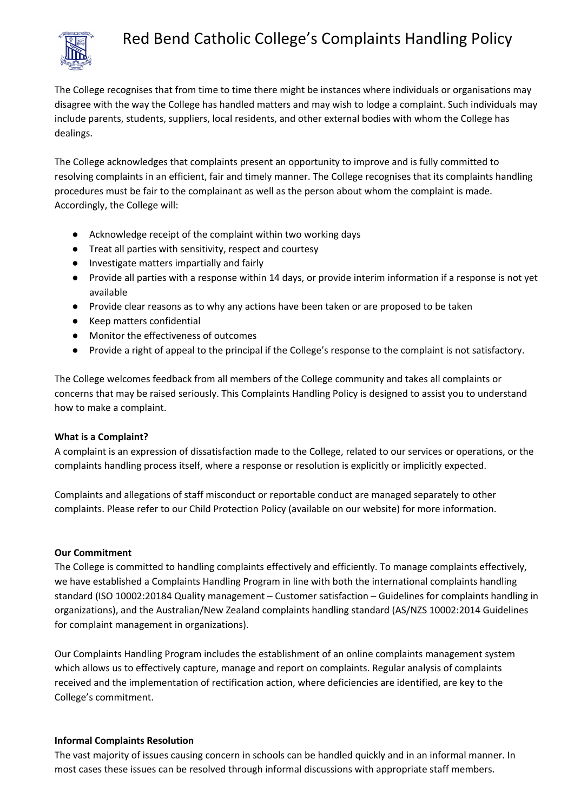

# Red Bend Catholic College's Complaints Handling Policy

The College recognises that from time to time there might be instances where individuals or organisations may disagree with the way the College has handled matters and may wish to lodge a complaint. Such individuals may include parents, students, suppliers, local residents, and other external bodies with whom the College has dealings.

The College acknowledges that complaints present an opportunity to improve and is fully committed to resolving complaints in an efficient, fair and timely manner. The College recognises that its complaints handling procedures must be fair to the complainant as well as the person about whom the complaint is made. Accordingly, the College will:

- Acknowledge receipt of the complaint within two working days
- Treat all parties with sensitivity, respect and courtesy
- Investigate matters impartially and fairly
- Provide all parties with a response within 14 days, or provide interim information if a response is not yet available
- Provide clear reasons as to why any actions have been taken or are proposed to be taken
- Keep matters confidential
- Monitor the effectiveness of outcomes
- Provide a right of appeal to the principal if the College's response to the complaint is not satisfactory.

The College welcomes feedback from all members of the College community and takes all complaints or concerns that may be raised seriously. This Complaints Handling Policy is designed to assist you to understand how to make a complaint.

### **What is a Complaint?**

A complaint is an expression of dissatisfaction made to the College, related to our services or operations, or the complaints handling process itself, where a response or resolution is explicitly or implicitly expected.

Complaints and allegations of staff misconduct or reportable conduct are managed separately to other complaints. Please refer to our Child Protection Policy (available on our website) for more information.

### **Our Commitment**

The College is committed to handling complaints effectively and efficiently. To manage complaints effectively, we have established a Complaints Handling Program in line with both the international complaints handling standard (ISO 10002:20184 Quality management – Customer satisfaction – Guidelines for complaints handling in organizations), and the Australian/New Zealand complaints handling standard (AS/NZS 10002:2014 Guidelines for complaint management in organizations).

Our Complaints Handling Program includes the establishment of an online complaints management system which allows us to effectively capture, manage and report on complaints. Regular analysis of complaints received and the implementation of rectification action, where deficiencies are identified, are key to the College's commitment.

### **Informal Complaints Resolution**

The vast majority of issues causing concern in schools can be handled quickly and in an informal manner. In most cases these issues can be resolved through informal discussions with appropriate staff members.